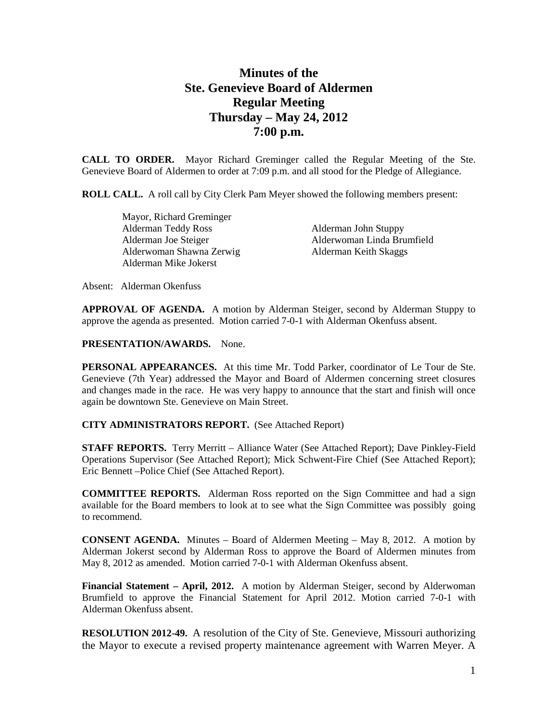# **Minutes of the Ste. Genevieve Board of Aldermen Regular Meeting Thursday – May 24, 2012 7:00 p.m.**

**CALL TO ORDER.** Mayor Richard Greminger called the Regular Meeting of the Ste. Genevieve Board of Aldermen to order at 7:09 p.m. and all stood for the Pledge of Allegiance.

**ROLL CALL.** A roll call by City Clerk Pam Meyer showed the following members present:

 Mayor, Richard Greminger Alderman Teddy Ross Alderman John Stuppy Alderwoman Shawna Zerwig Alderman Keith Skaggs Alderman Mike Jokerst

Alderman Joe Steiger Alderwoman Linda Brumfield

Absent: Alderman Okenfuss

**APPROVAL OF AGENDA.** A motion by Alderman Steiger, second by Alderman Stuppy to approve the agenda as presented. Motion carried 7-0-1 with Alderman Okenfuss absent.

**PRESENTATION/AWARDS.** None.

**PERSONAL APPEARANCES.** At this time Mr. Todd Parker, coordinator of Le Tour de Ste. Genevieve (7th Year) addressed the Mayor and Board of Aldermen concerning street closures and changes made in the race. He was very happy to announce that the start and finish will once again be downtown Ste. Genevieve on Main Street.

#### **CITY ADMINISTRATORS REPORT.** (See Attached Report)

**STAFF REPORTS.** Terry Merritt – Alliance Water (See Attached Report); Dave Pinkley-Field Operations Supervisor (See Attached Report); Mick Schwent-Fire Chief (See Attached Report); Eric Bennett –Police Chief (See Attached Report).

**COMMITTEE REPORTS.** Alderman Ross reported on the Sign Committee and had a sign available for the Board members to look at to see what the Sign Committee was possibly going to recommend.

**CONSENT AGENDA.** Minutes – Board of Aldermen Meeting – May 8, 2012. A motion by Alderman Jokerst second by Alderman Ross to approve the Board of Aldermen minutes from May 8, 2012 as amended. Motion carried 7-0-1 with Alderman Okenfuss absent.

**Financial Statement – April, 2012.** A motion by Alderman Steiger, second by Alderwoman Brumfield to approve the Financial Statement for April 2012. Motion carried 7-0-1 with Alderman Okenfuss absent.

**RESOLUTION 2012-49.** A resolution of the City of Ste. Genevieve, Missouri authorizing the Mayor to execute a revised property maintenance agreement with Warren Meyer. A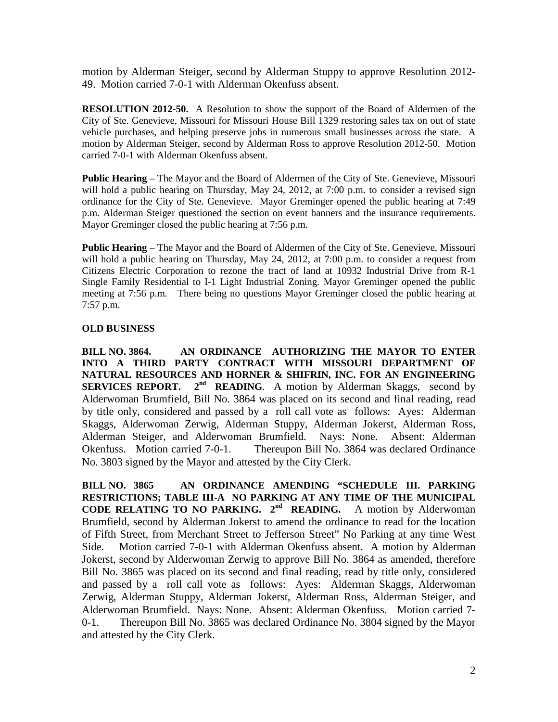motion by Alderman Steiger, second by Alderman Stuppy to approve Resolution 2012- 49. Motion carried 7-0-1 with Alderman Okenfuss absent.

**RESOLUTION 2012-50.** A Resolution to show the support of the Board of Aldermen of the City of Ste. Genevieve, Missouri for Missouri House Bill 1329 restoring sales tax on out of state vehicle purchases, and helping preserve jobs in numerous small businesses across the state. A motion by Alderman Steiger, second by Alderman Ross to approve Resolution 2012-50. Motion carried 7-0-1 with Alderman Okenfuss absent.

**Public Hearing** – The Mayor and the Board of Aldermen of the City of Ste. Genevieve, Missouri will hold a public hearing on Thursday, May 24, 2012, at 7:00 p.m. to consider a revised sign ordinance for the City of Ste. Genevieve. Mayor Greminger opened the public hearing at 7:49 p.m. Alderman Steiger questioned the section on event banners and the insurance requirements. Mayor Greminger closed the public hearing at 7:56 p.m.

**Public Hearing** – The Mayor and the Board of Aldermen of the City of Ste. Genevieve, Missouri will hold a public hearing on Thursday, May 24, 2012, at 7:00 p.m. to consider a request from Citizens Electric Corporation to rezone the tract of land at 10932 Industrial Drive from R-1 Single Family Residential to I-1 Light Industrial Zoning. Mayor Greminger opened the public meeting at 7:56 p.m. There being no questions Mayor Greminger closed the public hearing at 7:57 p.m.

## **OLD BUSINESS**

**BILL NO. 3864. AN ORDINANCE AUTHORIZING THE MAYOR TO ENTER INTO A THIRD PARTY CONTRACT WITH MISSOURI DEPARTMENT OF NATURAL RESOURCES AND HORNER & SHIFRIN, INC. FOR AN ENGINEERING SERVICES REPORT.** 2<sup>nd</sup> READING. A motion by Alderman Skaggs, second by Alderwoman Brumfield, Bill No. 3864 was placed on its second and final reading, read by title only, considered and passed by a roll call vote as follows: Ayes: Alderman Skaggs, Alderwoman Zerwig, Alderman Stuppy, Alderman Jokerst, Alderman Ross, Alderman Steiger, and Alderwoman Brumfield. Nays: None. Absent: Alderman Okenfuss. Motion carried 7-0-1. Thereupon Bill No. 3864 was declared Ordinance No. 3803 signed by the Mayor and attested by the City Clerk.

**BILL NO. 3865 AN ORDINANCE AMENDING "SCHEDULE III. PARKING RESTRICTIONS; TABLE III-A NO PARKING AT ANY TIME OF THE MUNICIPAL CODE RELATING TO NO PARKING. 2nd READING.** A motion by Alderwoman Brumfield, second by Alderman Jokerst to amend the ordinance to read for the location of Fifth Street, from Merchant Street to Jefferson Street" No Parking at any time West Side. Motion carried 7-0-1 with Alderman Okenfuss absent. A motion by Alderman Jokerst, second by Alderwoman Zerwig to approve Bill No. 3864 as amended, therefore Bill No. 3865 was placed on its second and final reading, read by title only, considered and passed by a roll call vote as follows: Ayes: Alderman Skaggs, Alderwoman Zerwig, Alderman Stuppy, Alderman Jokerst, Alderman Ross, Alderman Steiger, and Alderwoman Brumfield. Nays: None. Absent: Alderman Okenfuss. Motion carried 7- 0-1. Thereupon Bill No. 3865 was declared Ordinance No. 3804 signed by the Mayor and attested by the City Clerk.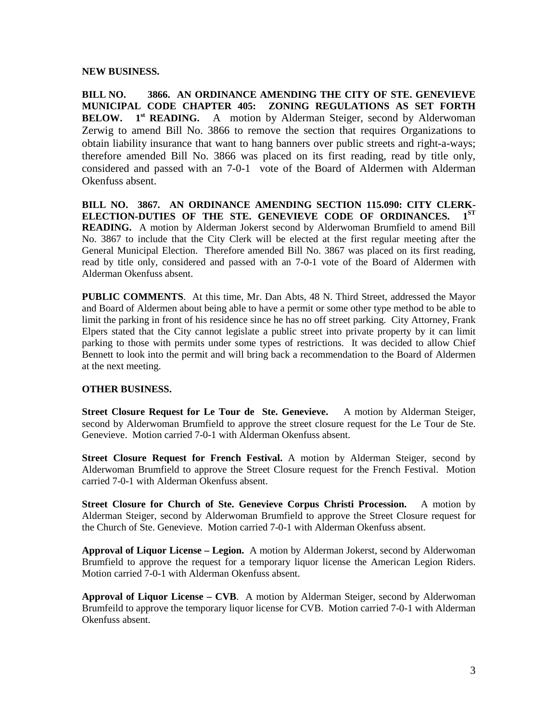### **NEW BUSINESS.**

**BILL NO. 3866. AN ORDINANCE AMENDING THE CITY OF STE. GENEVIEVE MUNICIPAL CODE CHAPTER 405: ZONING REGULATIONS AS SET FORTH BELOW.** 1<sup>st</sup> **READING.** A motion by Alderman Steiger, second by Alderwoman Zerwig to amend Bill No. 3866 to remove the section that requires Organizations to obtain liability insurance that want to hang banners over public streets and right-a-ways; therefore amended Bill No. 3866 was placed on its first reading, read by title only, considered and passed with an 7-0-1 vote of the Board of Aldermen with Alderman Okenfuss absent.

BILL NO. 3867. AN ORDINANCE AMENDING SECTION 115.090: CITY CLERK-<br>ELECTION-DUTIES OF THE STE. GENEVIEVE CODE OF ORDINANCES. 1<sup>ST</sup> ELECTION-DUTIES OF THE STE. GENEVIEVE CODE OF ORDINANCES. **READING.** A motion by Alderman Jokerst second by Alderwoman Brumfield to amend Bill No. 3867 to include that the City Clerk will be elected at the first regular meeting after the General Municipal Election. Therefore amended Bill No. 3867 was placed on its first reading, read by title only, considered and passed with an 7-0-1 vote of the Board of Aldermen with Alderman Okenfuss absent.

**PUBLIC COMMENTS**. At this time, Mr. Dan Abts, 48 N. Third Street, addressed the Mayor and Board of Aldermen about being able to have a permit or some other type method to be able to limit the parking in front of his residence since he has no off street parking. City Attorney, Frank Elpers stated that the City cannot legislate a public street into private property by it can limit parking to those with permits under some types of restrictions. It was decided to allow Chief Bennett to look into the permit and will bring back a recommendation to the Board of Aldermen at the next meeting.

## **OTHER BUSINESS.**

**Street Closure Request for Le Tour de Ste. Genevieve.** A motion by Alderman Steiger, second by Alderwoman Brumfield to approve the street closure request for the Le Tour de Ste. Genevieve. Motion carried 7-0-1 with Alderman Okenfuss absent.

**Street Closure Request for French Festival.** A motion by Alderman Steiger, second by Alderwoman Brumfield to approve the Street Closure request for the French Festival. Motion carried 7-0-1 with Alderman Okenfuss absent.

**Street Closure for Church of Ste. Genevieve Corpus Christi Procession.** A motion by Alderman Steiger, second by Alderwoman Brumfield to approve the Street Closure request for the Church of Ste. Genevieve. Motion carried 7-0-1 with Alderman Okenfuss absent.

**Approval of Liquor License – Legion.** A motion by Alderman Jokerst, second by Alderwoman Brumfield to approve the request for a temporary liquor license the American Legion Riders. Motion carried 7-0-1 with Alderman Okenfuss absent.

**Approval of Liquor License – CVB**. A motion by Alderman Steiger, second by Alderwoman Brumfeild to approve the temporary liquor license for CVB. Motion carried 7-0-1 with Alderman Okenfuss absent.